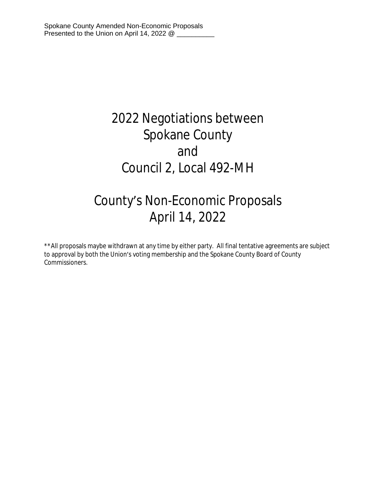# 2022 Negotiations between Spokane County and Council 2, Local 492-MH

# County's Non-Economic Proposals April 14, 2022

\*\*All proposals maybe withdrawn at any time by either party. All final tentative agreements are subject to approval by both the Union's voting membership and the Spokane County Board of County Commissioners.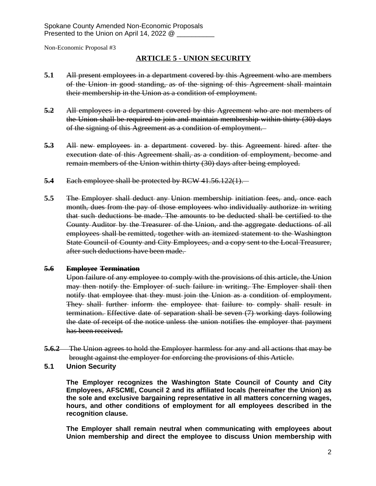## **ARTICLE 5 - UNION SECURITY**

- **5.1** All present employees in a department covered by this Agreement who are members of the Union in good standing, as of the signing of this Agreement shall maintain their membership in the Union as a condition of employment.
- **5.2** All employees in a department covered by this Agreement who are not members of the Union shall be required to join and maintain membership within thirty (30) days of the signing of this Agreement as a condition of employment.
- **5.3** All new employees in a department covered by this Agreement hired after the execution date of this Agreement shall, as a condition of employment, become and remain members of the Union within thirty (30) days after being employed.
- **5.4** Each employee shall be protected by RCW 41.56.122(1).
- **5.5** The Employer shall deduct any Union membership initiation fees, and, once each month, dues from the pay of those employees who individually authorize in writing that such deductions be made. The amounts to be deducted shall be certified to the County Auditor by the Treasurer of the Union, and the aggregate deductions of all employees shall be remitted, together with an itemized statement to the Washington State Council of County and City Employees, and a copy sent to the Local Treasurer, after such deductions have been made.

## **5.6 Employee Termination**

Upon failure of any employee to comply with the provisions of this article, the Union may then notify the Employer of such failure in writing. The Employer shall then notify that employee that they must join the Union as a condition of employment. They shall further inform the employee that failure to comply shall result in termination. Effective date of separation shall be seven (7) working days following the date of receipt of the notice unless the union notifies the employer that payment has been received.

- **5.6.2** The Union agrees to hold the Employer harmless for any and all actions that may be brought against the employer for enforcing the provisions of this Article.
- **5.1 Union Security**

**The Employer recognizes the Washington State Council of County and City Employees, AFSCME, Council 2 and its affiliated locals (hereinafter the Union) as the sole and exclusive bargaining representative in all matters concerning wages, hours, and other conditions of employment for all employees described in the recognition clause.**

**The Employer shall remain neutral when communicating with employees about Union membership and direct the employee to discuss Union membership with**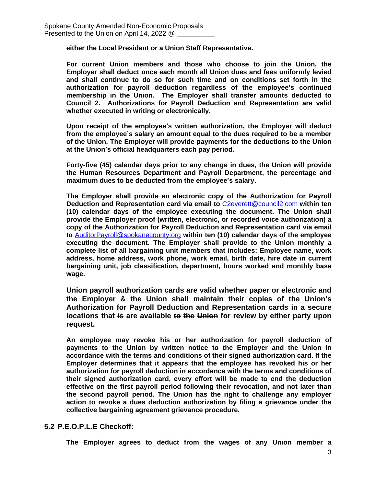**either the Local President or a Union Staff Representative.**

**For current Union members and those who choose to join the Union, the Employer shall deduct once each month all Union dues and fees uniformly levied and shall continue to do so for such time and on conditions set forth in the authorization for payroll deduction regardless of the employee's continued membership in the Union. The Employer shall transfer amounts deducted to Council 2. Authorizations for Payroll Deduction and Representation are valid whether executed in writing or electronically.** 

**Upon receipt of the employee's written authorization, the Employer will deduct from the employee's salary an amount equal to the dues required to be a member of the Union. The Employer will provide payments for the deductions to the Union at the Union's official headquarters each pay period.** 

**Forty-five (45) calendar days prior to any change in dues, the Union will provide the Human Resources Department and Payroll Department, the percentage and maximum dues to be deducted from the employee's salary.** 

**The Employer shall provide an electronic copy of the Authorization for Payroll Deduction and Representation card via email to** [C2everett@council2.com](mailto:C2everett@council2.com) **within ten (10) calendar days of the employee executing the document. The Union shall provide the Employer proof (written, electronic, or recorded voice authorization) a copy of the Authorization for Payroll Deduction and Representation card via email to** [AuditorPayroll@spokanecounty.org](mailto:AuditorPayroll@spokanecounty.org) **within ten (10) calendar days of the employee executing the document. The Employer shall provide to the Union monthly a complete list of all bargaining unit members that includes: Employee name, work address, home address, work phone, work email, birth date, hire date in current bargaining unit, job classification, department, hours worked and monthly base wage.**

**Union payroll authorization cards are valid whether paper or electronic and the Employer & the Union shall maintain their copies of the Union's Authorization for Payroll Deduction and Representation cards in a secure locations that is are available to the Union for review by either party upon request.** 

**An employee may revoke his or her authorization for payroll deduction of payments to the Union by written notice to the Employer and the Union in accordance with the terms and conditions of their signed authorization card. If the Employer determines that it appears that the employee has revoked his or her authorization for payroll deduction in accordance with the terms and conditions of their signed authorization card, every effort will be made to end the deduction effective on the first payroll period following their revocation, and not later than the second payroll period. The Union has the right to challenge any employer action to revoke a dues deduction authorization by filing a grievance under the collective bargaining agreement grievance procedure.**

## **5.2 P.E.O.P.L.E Checkoff:**

**The Employer agrees to deduct from the wages of any Union member a**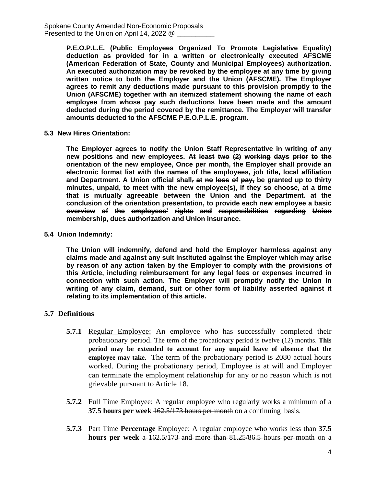Spokane County Amended Non-Economic Proposals Presented to the Union on April 14, 2022 @

> **P.E.O.P.L.E. (Public Employees Organized To Promote Legislative Equality) deduction as provided for in a written or electronically executed AFSCME (American Federation of State, County and Municipal Employees) authorization. An executed authorization may be revoked by the employee at any time by giving written notice to both the Employer and the Union (AFSCME). The Employer agrees to remit any deductions made pursuant to this provision promptly to the Union (AFSCME) together with an itemized statement showing the name of each employee from whose pay such deductions have been made and the amount deducted during the period covered by the remittance. The Employer will transfer amounts deducted to the AFSCME P.E.O.P.L.E. program.**

**5.3 New Hires Orientation:**

**The Employer agrees to notify the Union Staff Representative in writing of any new positions and new employees. At least two (2) working days prior to the orientation of the new employee, Once per month, the Employer shall provide an electronic format list with the names of the employees, job title, local affiliation and Department. A Union official shall, at no loss of pay, be granted up to thirty minutes, unpaid, to meet with the new employee(s), if they so choose, at a time that is mutually agreeable between the Union and the Department. at the conclusion of the orientation presentation, to provide each new employee a basic overview of the employees' rights and responsibilities regarding Union membership, dues authorization and Union insurance.**

#### **5.4 Union Indemnity:**

**The Union will indemnify, defend and hold the Employer harmless against any claims made and against any suit instituted against the Employer which may arise by reason of any action taken by the Employer to comply with the provisions of this Article, including reimbursement for any legal fees or expenses incurred in connection with such action. The Employer will promptly notify the Union in writing of any claim, demand, suit or other form of liability asserted against it relating to its implementation of this article.**

#### **5.7 Definitions**

- **5.7.1** Regular Employee: An employee who has successfully completed their probationary period. The term of the probationary period is twelve (12) months. **This period may be extended to account for any unpaid leave of absence that the employee may take.** The term of the probationary period is 2080 actual hours worked. During the probationary period, Employee is at will and Employer can terminate the employment relationship for any or no reason which is not grievable pursuant to Article 18.
- **5.7.2** Full Time Employee: A regular employee who regularly works a minimum of a **37.5 hours per week** 162.5/173 hours per month on a continuing basis.
- **5.7.3** Part Time **Percentage** Employee: A regular employee who works less than **37.5 hours per week** a 162.5/173 and more than 81.25/86.5 hours per month on a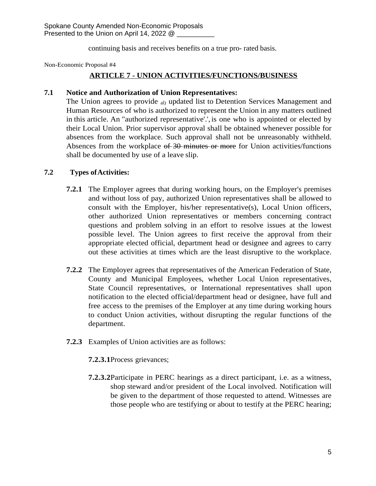continuing basis and receives benefits on a true pro- rated basis.

Non-Economic Proposal #4

# **ARTICLE 7 - UNION ACTIVITIES/FUNCTIONS/BUSINESS**

## **7.1 Notice and Authorization of Union Representatives:**

The Union agrees to provide <sub>al)</sub> updated list to Detention Services Management and Human Resources of who is authorized to represent the Union in any matters outlined in this article. An "authorized representative'.', is one who is appointed or elected by their Local Union. Prior supervisor approval shall be obtained whenever possible for absences from the workplace. Such approval shall not be unreasonably withheld. Absences from the workplace of 30 minutes or more for Union activities/functions shall be documented by use of a leave slip.

## **7.2 Types ofActivities:**

- **7.2.1** The Employer agrees that during working hours, on the Employer's premises and without loss of pay, authorized Union representatives shall be allowed to consult with the Employer, his/her representative(s), Local Union officers, other authorized Union representatives or members concerning contract questions and problem solving in an effort to resolve issues at the lowest possible level. The Union agrees to first receive the approval from their appropriate elected official, department head or designee and agrees to carry out these activities at times which are the least disruptive to the workplace.
- **7.2.2** The Employer agrees that representatives of the American Federation of State, County and Municipal Employees, whether Local Union representatives, State Council representatives, or International representatives shall upon notification to the elected official/department head or designee, have full and free access to the premises of the Employer at any time during working hours to conduct Union activities, without disrupting the regular functions of the department.
- **7.2.3** Examples of Union activities are as follows:
	- **7.2.3.1**Process grievances;
	- **7.2.3.2**Participate in PERC hearings as a direct participant, i.e. as a witness, shop steward and/or president of the Local involved. Notification will be given to the department of those requested to attend. Witnesses are those people who are testifying or about to testify at the PERC hearing;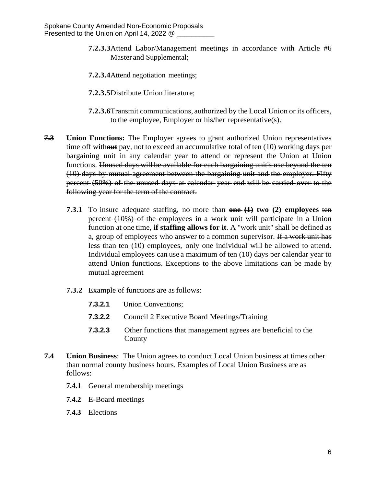- **7.2.3.3**Attend Labor/Management meetings in accordance with Article #6 Master and Supplemental;
- **7.2.3.4**Attend negotiation meetings;
- **7.2.3.5**Distribute Union literature;
- **7.2.3.6**Transmit communications, authorized by the Local Union or its officers, to the employee, Employer or his/her representative(s).
- **7.3 Union Functions:** The Employer agrees to grant authorized Union representatives time off with**out** pay, not to exceed an accumulative total of ten (10) working days per bargaining unit in any calendar year to attend or represent the Union at Union functions. Unused days will be available for each bargaining unit's use beyond the ten (10) days by mutual agreement between the bargaining unit and the employer. Fifty percent (50%) of the unused days at calendar year end will be carried over to the following year for the term of the contract.
	- **7.3.1** To insure adequate staffing, no more than **one (1) two (2) employees** ten percent (10%) of the employees in a work unit will participate in a Union function at one time, **if staffing allows for it**. A "work unit" shall be defined as a, group of employees who answer to a common supervisor. If a work unit has less than ten (10) employees, only one individual will be allowed to attend. Individual employees can use a maximum of ten (10) days per calendar year to attend Union functions. Exceptions to the above limitations can be made by mutual agreement
	- **7.3.2** Example of functions are as follows:
		- **7.3.2.1** Union Conventions;
		- **7.3.2.2** Council 2 Executive Board Meetings/Training
		- **7.3.2.3** Other functions that management agrees are beneficial to the County
- **7.4 Union Business**: The Union agrees to conduct Local Union business at times other than normal county business hours. Examples of Local Union Business are as follows:
	- **7.4.1** General membership meetings
	- **7.4.2** E-Board meetings
	- **7.4.3** Elections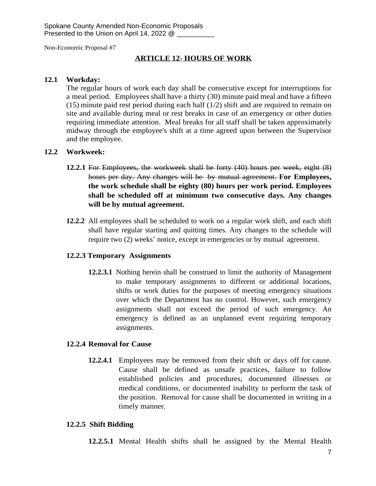## **ARTICLE 12- HOURS OF WORK**

#### **12.1 Workday:**

The regular hours of work each day shall be consecutive except for interruptions for a meal period. Employees shall have a thirty (30) minute paid meal and have a fifteen (15) minute paid rest period during each half (1/2) shift and are required to remain on site and available during meal or rest breaks in case of an emergency or other duties requiring immediate attention. Meal breaks for all staff shall be taken approximately midway through the employee's shift at a time agreed upon between the Supervisor and the employee.

#### **12.2 Workweek:**

- **12.2.1** For Employees, the workweek shall be forty (40) hours per week, eight (8) hours per day. Any changes will be by mutual agreement. **For Employees, the work schedule shall be eighty (80) hours per work period. Employees shall be scheduled off at minimum two consecutive days. Any changes will be by mutual agreement.**
- **12.2.2** All employees shall be scheduled to work on a regular work shift, and each shift shall have regular starting and quitting times. Any changes to the schedule will require two (2) weeks' notice, except in emergencies or by mutual agreement.

## **12.2.3 Temporary Assignments**

**12.2.3.1** Nothing herein shall be construed to limit the authority of Management to make temporary assignments to different or additional locations, shifts or work duties for the purposes of meeting emergency situations over which the Department has no control. However, such emergency assignments shall not exceed the period of such emergency. An emergency is defined as an unplanned event requiring temporary assignments.

#### **12.2.4 Removal for Cause**

**12.2.4.1** Employees may be removed from their shift or days off for cause. Cause shall be defined as unsafe practices, failure to follow established policies and procedures, documented illnesses or medical conditions, or documented inability to perform the task of the position. Removal for cause shall be documented in writing in a timely manner.

#### **12.2.5 Shift Bidding**

**12.2.5.1** Mental Health shifts shall be assigned by the Mental Health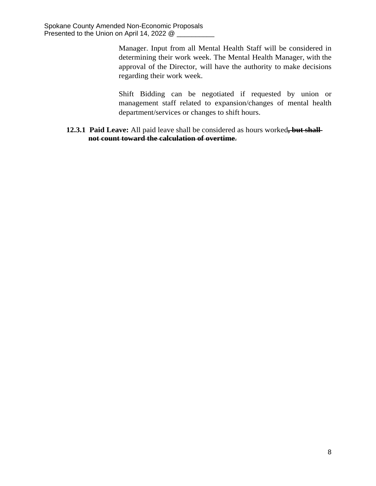Manager. Input from all Mental Health Staff will be considered in determining their work week. The Mental Health Manager, with the approval of the Director, will have the authority to make decisions regarding their work week.

Shift Bidding can be negotiated if requested by union or management staff related to expansion/changes of mental health department/services or changes to shift hours.

**12.3.1 Paid Leave:** All paid leave shall be considered as hours worked**, but shall not count toward the calculation of overtime**.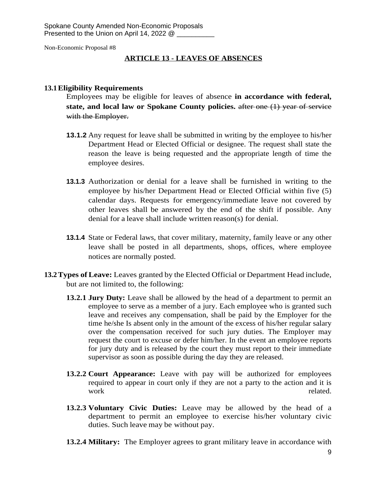## **ARTICLE 13 - LEAVES OF ABSENCES**

## **13.1Eligibility Requirements**

Employees may be eligible for leaves of absence **in accordance with federal, state, and local law or Spokane County policies.** after one (1) year of service with the Employer.

- **13.1.2** Any request for leave shall be submitted in writing by the employee to his/her Department Head or Elected Official or designee. The request shall state the reason the leave is being requested and the appropriate length of time the employee desires.
- **13.1.3** Authorization or denial for a leave shall be furnished in writing to the employee by his/her Department Head or Elected Official within five (5) calendar days. Requests for emergency/immediate leave not covered by other leaves shall be answered by the end of the shift if possible. Any denial for a leave shall include written reason(s) for denial.
- **13.1.4** State or Federal laws, that cover military, maternity, family leave or any other leave shall be posted in all departments, shops, offices, where employee notices are normally posted.
- **13.2Types of Leave:** Leaves granted by the Elected Official or Department Head include, but are not limited to, the following:
	- **13.2.1 Jury Duty:** Leave shall be allowed by the head of a department to permit an employee to serve as a member of a jury. Each employee who is granted such leave and receives any compensation, shall be paid by the Employer for the time he/she Is absent only in the amount of the excess of his/her regular salary over the compensation received for such jury duties. The Employer may request the court to excuse or defer him/her. In the event an employee reports for jury duty and is released by the court they must report to their immediate supervisor as soon as possible during the day they are released.
	- **13.2.2 Court Appearance:** Leave with pay will be authorized for employees required to appear in court only if they are not a party to the action and it is work related.
	- **13.2.3 Voluntary Civic Duties:** Leave may be allowed by the head of a department to permit an employee to exercise his/her voluntary civic duties. Such leave may be without pay.
	- **13.2.4 Military:** The Employer agrees to grant military leave in accordance with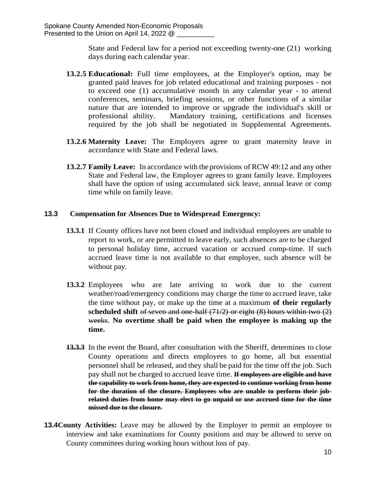State and Federal law for a period not exceeding twenty-one (21) working days during each calendar year.

- **13.2.5 Educational:** Full time employees, at the Employer's option, may be granted paid leaves for job related educational and training purposes - not to exceed one (1) accumulative month in any calendar year - to attend conferences, seminars, briefing sessions, or other functions of a similar nature that are intended to improve or upgrade the individual's skill or professional ability. Mandatory training, certifications and licenses required by the job shall be negotiated in Supplemental Agreements.
- **13.2.6 Maternity Leave:** The Employers agree to grant maternity leave in accordance with State and Federal laws.
- **13.2.7 Family Leave:** In accordance with the provisions of RCW 49:12 and any other State and Federal law, the Employer agrees to grant family leave. Employees shall have the option of using accumulated sick leave, annual leave or comp time while on family leave.

## **13.3 Compensation for Absences Due to Widespread Emergency:**

- **13.3.1** If County offices have not been closed and individual employees are unable to report to work, or are permitted to leave early, such absences are to be charged to personal holiday time, accrued vacation or accrued comp-time. If such accrued leave time is not available to that employee, such absence will be without pay.
- **13.3.2** Employees who are late arriving to work due to the current weather/road/emergency conditions may charge the time to accrued leave, take the time without pay, or make up the time at a maximum **of their regularly scheduled shift** of seven and one-half (71/2) or eight (8) hours within two (2) weeks. **No overtime shall be paid when the employee is making up the time.**
- **13.3.3** In the event the Board, after consultation with the Sheriff, determines to close County operations and directs employees to go home, all but essential personnel shall be released, and they shall be paid for the time off the job. Such pay shall not be charged to accrued leave time. **If employees are eligible and have the capability to work from home, they are expected to continue working from home for the duration of the closure. Employees who are unable to perform their jobrelated duties from home may elect to go unpaid or use accrued time for the time missed due to the closure.**
- **13.4 County Activities:** Leave may be allowed by the Employer to permit an employee to interview and take examinations for County positions and may be allowed to serve on County committees during working hours without loss of pay.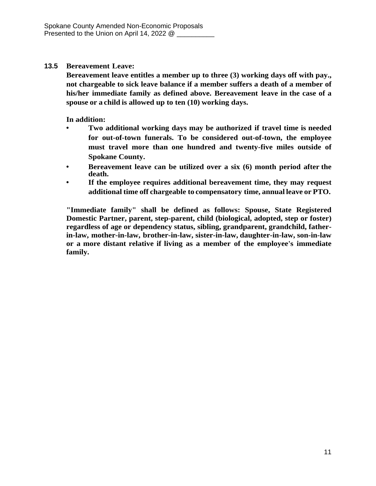## **13.5 Bereavement Leave:**

**Bereavement leave entitles a member up to three (3) working days off with pay., not chargeable to sick leave balance if a member suffers a death of a member of his/her immediate family as defined above. Bereavement leave in the case of a spouse or a child is allowed up to ten (10) working days.**

**In addition:**

- **• Two additional working days may be authorized if travel time is needed for out-of-town funerals. To be considered out-of-town, the employee must travel more than one hundred and twenty-five miles outside of Spokane County.**
- **• Bereavement leave can be utilized over a six (6) month period after the death.**
- **• If the employee requires additional bereavement time, they may request additional time off chargeable to compensatory time, annual leave or PTO.**

**"Immediate family" shall be defined as follows: Spouse, State Registered Domestic Partner, parent, step-parent, child (biological, adopted, step or foster) regardless of age or dependency status, sibling, grandparent, grandchild, fatherin-law, mother-in-law, brother-in-law, sister-in-law, daughter-in-law, son-in-law or a more distant relative if living as a member of the employee's immediate family.**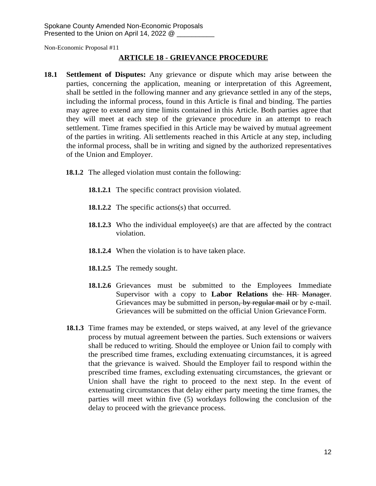# **ARTICLE 18 - GRIEVANCE PROCEDURE**

- **18.1 Settlement of Disputes:** Any grievance or dispute which may arise between the parties, concerning the application, meaning or interpretation of this Agreement, shall be settled in the following manner and any grievance settled in any of the steps, including the informal process, found in this Article is final and binding. The parties may agree to extend any time limits contained in this Article. Both parties agree that they will meet at each step of the grievance procedure in an attempt to reach settlement. Time frames specified in this Article may be waived by mutual agreement of the parties in writing. Ali settlements reached in this Article at any step, including the informal process, shall be in writing and signed by the authorized representatives of the Union and Employer.
	- **18.1.2** The alleged violation must contain the following:
		- **18.1.2.1** The specific contract provision violated.
		- **18.1.2.2** The specific actions(s) that occurred.
		- **18.1.2.3** Who the individual employee(s) are that are affected by the contract violation.
		- **18.1.2.4** When the violation is to have taken place.
		- **18.1.2.5** The remedy sought.
		- **18.1.2.6** Grievances must be submitted to the Employees Immediate Supervisor with a copy to **Labor Relations** the HR Manager. Grievances may be submitted in person, by regular mail or by e-mail. Grievances will be submitted on the official Union GrievanceForm.
	- **18.1.3** Time frames may be extended, or steps waived, at any level of the grievance process by mutual agreement between the parties. Such extensions or waivers shall be reduced to writing. Should the employee or Union fail to comply with the prescribed time frames, excluding extenuating circumstances, it is agreed that the grievance is waived. Should the Employer fail to respond within the prescribed time frames, excluding extenuating circumstances, the grievant or Union shall have the right to proceed to the next step. In the event of extenuating circumstances that delay either party meeting the time frames, the parties will meet within five (5) workdays following the conclusion of the delay to proceed with the grievance process.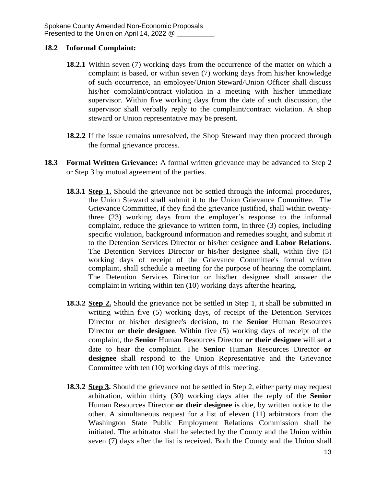## **18.2 Informal Complaint:**

- **18.2.1** Within seven (7) working days from the occurrence of the matter on which a complaint is based, or within seven (7) working days from his/her knowledge of such occurrence, an employee/Union Steward/Union Officer shall discuss his/her complaint/contract violation in a meeting with his/her immediate supervisor. Within five working days from the date of such discussion, the supervisor shall verbally reply to the complaint/contract violation. A shop steward or Union representative may be present.
- **18.2.2** If the issue remains unresolved, the Shop Steward may then proceed through the formal grievance process.
- **18.3 Formal Written Grievance:** A formal written grievance may be advanced to Step 2 or Step 3 by mutual agreement of the parties.
	- **18.3.1 Step 1.** Should the grievance not be settled through the informal procedures, the Union Steward shall submit it to the Union Grievance Committee. The Grievance Committee, if they find the grievance justified, shall within twentythree (23) working days from the employer's response to the informal complaint, reduce the grievance to written form, in three (3) copies, including specific violation, background information and remedies sought, and submit it to the Detention Services Director or his/her designee **and Labor Relations**. The Detention Services Director or his/her designee shall, within five (5) working days of receipt of the Grievance Committee's formal written complaint, shall schedule a meeting for the purpose of hearing the complaint. The Detention Services Director or his/her designee shall answer the complaint in writing within ten (10) working days afterthe hearing.
	- **18.3.2 Step 2.** Should the grievance not be settled in Step 1, it shall be submitted in writing within five (5) working days, of receipt of the Detention Services Director or his/her designee's decision, to the **Senior** Human Resources Director **or their designee**. Within five (5) working days of receipt of the complaint, the **Senior** Human Resources Director **or their designee** will set a date to hear the complaint. The **Senior** Human Resources Director **or designee** shall respond to the Union Representative and the Grievance Committee with ten (10) working days of this meeting.
	- **18.3.2 Step 3.** Should the grievance not be settled in Step 2, either party may request arbitration, within thirty (30) working days after the reply of the **Senior** Human Resources Director **or their designee** is due, by written notice to the other. A simultaneous request for a list of eleven (11) arbitrators from the Washington State Public Employment Relations Commission shall be initiated. The arbitrator shall be selected by the County and the Union within seven (7) days after the list is received. Both the County and the Union shall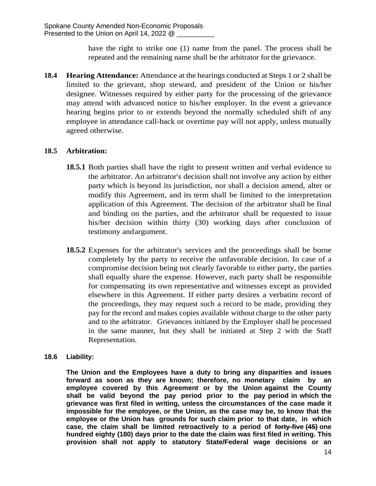have the right to strike one (1) name from the panel. The process shall be repeated and the remaining name shall be the arbitrator forthe grievance.

**18.4 Hearing Attendance:** Attendance at the hearings conducted at Steps 1 or 2 shall be limited to the grievant, shop steward, and president of the Union or his/her designee. Witnesses required by either party for the processing of the grievance may attend with advanced notice to his/her employer. In the event a grievance hearing begins prior to or extends beyond the normally scheduled shift of any employee in attendance call-back or overtime pay will not apply, unless mutually agreed otherwise.

# **18.5 Arbitration:**

- **18.5.1** Both parties shall have the right to present written and verbal evidence to the arbitrator. An arbitrator's decision shall not involve any action by either party which is beyond its jurisdiction, nor shall a decision amend, alter or modify this Agreement, and its term shall be limited to the interpretation application of this Agreement. The decision of the arbitrator shall be final and binding on the parties, and the arbitrator shall be requested to issue his/her decision within thirty (30) working days after conclusion of testimony andargument.
- **18.5.2** Expenses for the arbitrator's services and the proceedings shall be borne completely by the party to receive the unfavorable decision. In case of a compromise decision being not clearly favorable to either party, the parties shall equally share the expense. However, each party shall be responsible for compensating its own representative and witnesses except as provided elsewhere in this Agreement. If either party desires a verbatim record of the proceedings, they may request such a record to be made, providing they pay for the record and makes copies available without charge to the other party and to the arbitrator. Grievances initiated by the Employer shall be processed in the same manner, but they shall be initiated at Step 2 with the Staff Representation.

## **18.6 Liability:**

**The Union and the Employees have a duty to bring any disparities and issues forward as soon as they are known; therefore, no monetary claim by an employee covered by this Agreement or by the Union against the County shall be valid beyond the pay period prior to the pay period in which the grievance was first filed in writing, unless the circumstances of the case made it impossible for the employee, or the Union, as the case may be, to know that the employee or the Union has grounds for such claim prior to that date, in which case, the claim shall be limited retroactively to a period of forty-five (45) one hundred eighty (180) days prior to the date the claim was first filed in writing. This provision shall not apply to statutory State/Federal wage decisions or an**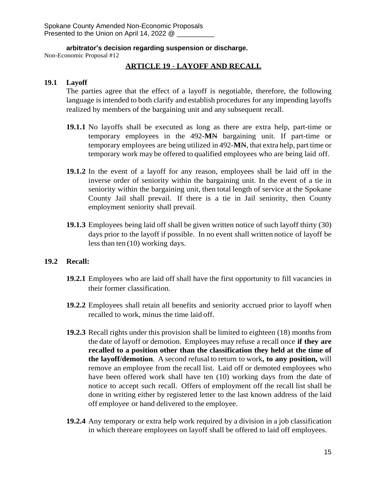**arbitrator's decision regarding suspension or discharge.**

Non-Economic Proposal #12

# **ARTICLE 19** - **LAYOFF AND RECALL**

## **19.1 Layoff**

The parties agree that the effect of a layoff is negotiable, therefore, the following language is intended to both clarify and establish procedures for any impending layoffs realized by members of the bargaining unit and any subsequent recall.

- **19.1.1** No layoffs shall be executed as long as there are extra help, part-time or temporary employees in the 492-**M**N bargaining unit. If part-time or temporary employees are being utilized in 492-**M**N, that extra help, part time or temporary work may be offered to qualified employees who are being laid off.
- **19.1.2** In the event of a layoff for any reason, employees shall be laid off in the inverse order of seniority within the bargaining unit. In the event of a tie in seniority within the bargaining unit, then total length of service at the Spokane County Jail shall prevail. If there is a tie in Jail seniority, then County employment seniority shall prevail..
- **19.1.3** Employees being laid off shall be given written notice of such layoff thirty (30) days prior to the layoff if possible. In no event shall written notice of layoff be lessthan ten (10) working days.

# **19.2 Recall:**

- **19.2.1** Employees who are laid off shall have the first opportunity to fill vacancies in their former classification.
- **19.2.2** Employees shall retain all benefits and seniority accrued prior to layoff when recalled to work, minus the time laid off.
- **19.2.3** Recall rights under this provision shall be limited to eighteen (18) months from the date of layoff or demotion. Employees may refuse a recall once **if they are recalled to a position other than the classification they held at the time of the layoff/demotion**. A second refusal to return to work**, to any position,** will remove an employee from the recall list. Laid off or demoted employees who have been offered work shall have ten (10) working days from the date of notice to accept such recall. Offers of employment off the recall list shall be done in writing either by registered letter to the last known address of the laid off employee or hand delivered to the employee.
- **19.2.4** Any temporary or extra help work required by a division in a job classification in which thereare employees on layoff shall be offered to laid off employees.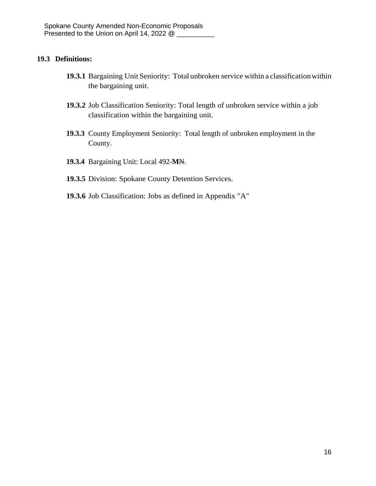## **19.3 Definitions:**

- **19.3.1** Bargaining Unit Seniority: Total unbroken service within a classificationwithin the bargaining unit.
- **19.3.2** Job Classification Seniority: Total length of unbroken service within a job classification within the bargaining unit.
- **19.3.3** County Employment Seniority: Total length of unbroken employment in the County.
- **19.3.4** Bargaining Unit: Local 492-**M**N.
- **19.3.5** Division: Spokane County Detention Services.
- **19.3.6** Job Classification: Jobs as defined in Appendix "A"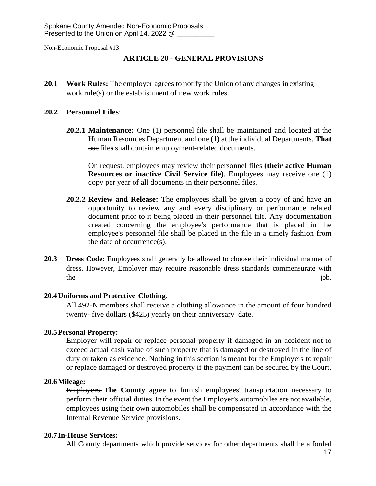## **ARTICLE 20** - **GENERAL PROVISIONS**

**20.1 Work Rules:** The employer agrees to notify the Union of any changes in existing work rule(s) or the establishment of new work rules.

#### **20.2 Personnel Files**:

**20.2.1 Maintenance:** One (1) personnel file shall be maintained and located at the Human Resources Department and one (1) at the individual Departments. **That** ose files shall contain employment-related documents.

On request, employees may review their personnel files **(their active Human Resources or inactive Civil Service file)**. Employees may receive one (1) copy per year of all documents in their personnel files.

- **20.2.2 Review and Release:** The employees shall be given a copy of and have an opportunity to review any and every disciplinary or performance related document prior to it being placed in their personnel file. Any documentation created concerning the employee's performance that is placed in the employee's personnel file shall be placed in the file in a timely fashion from the date of occurrence(s).
- **20.3 Dress Code:** Employees shall generally be allowed to choose their individual manner of dress. However, Employer may require reasonable dress standards commensurate with the intervals of the set of the set of the set of the set of the set of the set of the set of the set of the set of the set of the set of the set of the set of the set of the set of the set of the set of the set of the set

#### **20.4Uniforms and Protective Clothing**:

All 492-N members shall receive a clothing allowance in the amount of four hundred twenty- five dollars (\$425) yearly on their anniversary date.

#### **20.5Personal Property:**

Employer will repair or replace personal property if damaged in an accident not to exceed actual cash value of such property that is damaged or destroyed in the line of duty or taken as evidence. Nothing in this section is meant for the Employers to repair or replace damaged or destroyed property if the payment can be secured by the Court.

### **20.6Mileage:**

Employers **The County** agree to furnish employees' transportation necessary to perform their official duties. In the event the Employer's automobiles are not available, employees using their own automobiles shall be compensated in accordance with the Internal Revenue Service provisions.

#### **20.7In-House Services:**

All County departments which provide services for other departments shall be afforded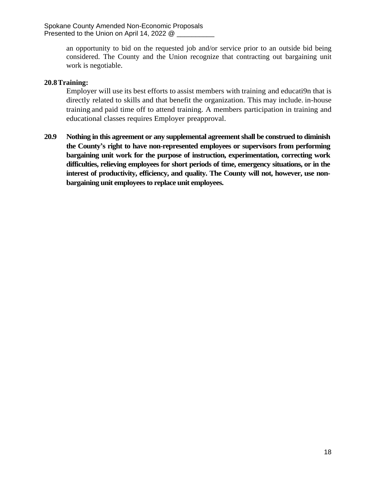Spokane County Amended Non-Economic Proposals Presented to the Union on April 14, 2022  $@$   $\Box$ 

> an opportunity to bid on the requested job and/or service prior to an outside bid being considered. The County and the Union recognize that contracting out bargaining unit work is negotiable.

#### **20.8Training:**

Employer will use its best efforts to assist members with training and educati9n that is directly related to skills and that benefit the organization. This may include. in-house training and paid time off to attend training. A members participation in training and educational classes requires Employer preapproval.

**20.9 Nothing in this agreement or any supplemental agreementshall be construed to diminish the County's right to have non-represented employees or supervisors from performing bargaining unit work for the purpose of instruction, experimentation, correcting work difficulties, relieving employees for short periods of time, emergency situations, or in the interest of productivity, efficiency, and quality. The County will not, however, use nonbargaining unit employeesto replace unit employees.**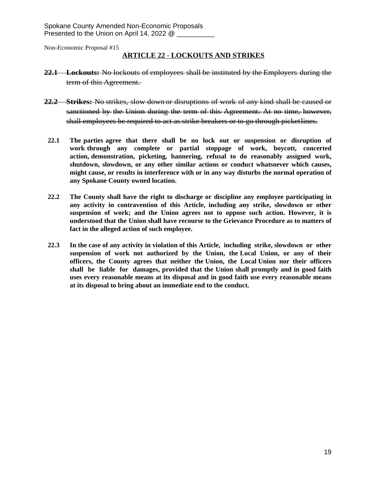#### **ARTICLE 22** - **LOCKOUTS AND STRIKES**

- **22.1 Lockouts:** No lockouts of employees shall be instituted by the Employers during the term of this Agreement.
- **22.2 Strikes:** No strikes, slow down or disruptions of work of any kind shall be caused or sanctioned by the Union during the term of this Agreement. At no time, however, shall employees be required to act as strike breakers or to go through picketlines.
- **22.1 The parties agree that there shall be no lock out or suspension or disruption of work through any complete or partial stoppage of work, boycott, concerted action, demonstration, picketing, bannering, refusal to do reasonably assigned work, shutdown, slowdown, or any other similar actions or conduct whatsoever which causes, might cause, or results in interference with or in any way disturbs the normal operation of any Spokane County owned location.**
- **22.2 The County shall have the right to discharge or discipline any employee participating in any activity in contravention of this Article, including any strike, slowdown or other suspension of work; and the Union agrees not to oppose such action. However, it is understood that the Union shall have recourse to the Grievance Procedure as to matters of fact in the alleged action of such employee.**
- **22.3 In the case of any activity in violation of this Article, including strike, slowdown or other suspension of work not authorized by the Union, the Local Union, or any of their officers, the County agrees that neither the Union, the Local Union nor their officers shall be liable for damages, provided that the Union shall promptly and in good faith uses every reasonable means at its disposal and in good faith use every reasonable means at its disposal to bring about an immediate end to the conduct.**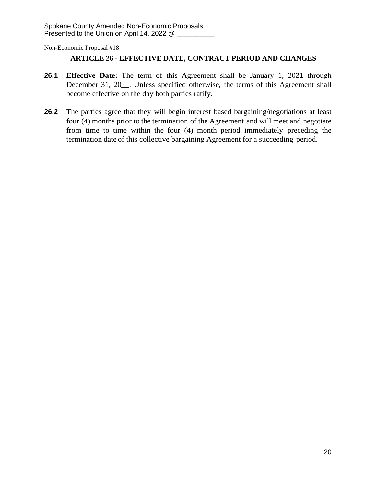# **ARTICLE 26 - EFFECTIVE DATE, CONTRACT PERIOD AND CHANGES**

- **26.1 Effective Date:** The term of this Agreement shall be January 1, 20**21** through December 31, 20 . Unless specified otherwise, the terms of this Agreement shall become effective on the day both parties ratify.
- **26.2** The parties agree that they will begin interest based bargaining/negotiations at least four (4) months prior to the termination of the Agreement and will meet and negotiate from time to time within the four (4) month period immediately preceding the termination date of this collective bargaining Agreement for a succeeding period.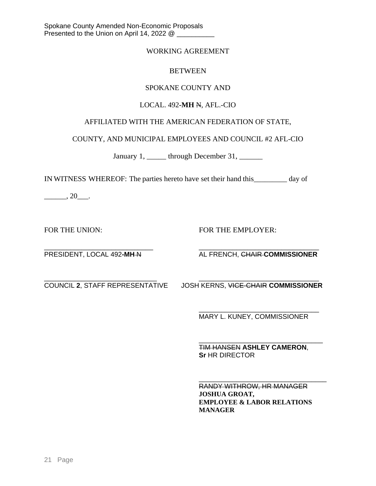### WORKING AGREEMENT

#### **BETWEEN**

## SPOKANE COUNTY AND

## LOCAL. 492**-MH** N, AFL.-CIO

# AFFILIATED WITH THE AMERICAN FEDERATION OF STATE,

COUNTY, AND MUNICIPAL EMPLOYEES AND COUNCIL #2 AFL-CIO

January 1, \_\_\_\_\_\_ through December 31, \_\_\_\_\_\_

IN WITNESS WHEREOF: The parties hereto have set their hand this\_\_\_\_\_\_\_\_\_ day of

 $\frac{1}{20}$ , 20

FOR THE UNION: FOR THE EMPLOYER:

\_\_\_\_\_\_\_\_\_\_\_\_\_\_\_\_\_\_\_\_\_\_\_\_\_\_\_\_\_ \_\_\_\_\_\_\_\_\_\_\_\_\_\_\_\_\_\_\_\_\_\_\_\_\_\_\_\_\_\_\_\_ PRESIDENT, LOCAL 492-MH-N AL FRENCH, CHAIR-COMMISSIONER

\_\_\_\_\_\_\_\_\_\_\_\_\_\_\_\_\_\_\_\_\_\_\_\_\_\_\_\_\_\_ \_\_\_\_\_\_\_\_\_\_\_\_\_\_\_\_\_\_\_\_\_\_\_\_\_\_\_\_\_\_\_\_ COUNCIL **2**, STAFF REPRESENTATIVE JOSH KERNS, VICE-CHAIR **COMMISSIONER**

\_\_\_\_\_\_\_\_\_\_\_\_\_\_\_\_\_\_\_\_\_\_\_\_\_\_\_\_\_\_\_\_ MARY L. KUNEY, COMMISSIONER

\_\_\_\_\_\_\_\_\_\_\_\_\_\_\_\_\_\_\_\_\_\_\_\_\_\_\_\_\_\_\_\_\_ TIM HANSEN **ASHLEY CAMERON**, **Sr** HR DIRECTOR

\_\_\_\_\_\_\_\_\_\_\_\_\_\_\_\_\_\_\_\_\_\_\_\_\_\_\_\_\_\_\_\_\_\_ RANDY WITHROW, HR MANAGER **JOSHUA GROAT, EMPLOYEE & LABOR RELATIONS MANAGER**